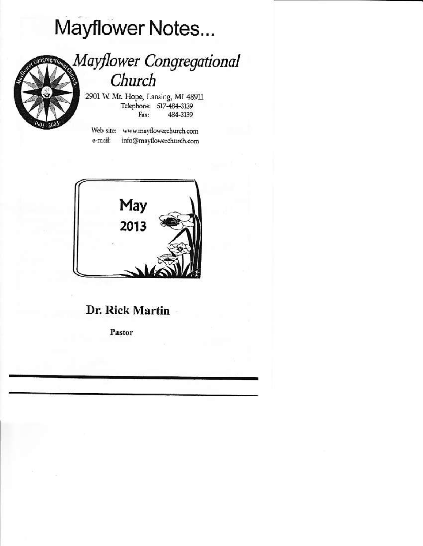# Mayflower Notes...



## Mayflower Congregational Church

2901 W. Mt. Hope, Lansing, MI 48911 Telephone: 517-484-3139 484-3139 Fax:

Web site: www.mayflowerchurch.com e-mail: info@mayflowerchurch.com



### Dr. Rick Martin

Pastor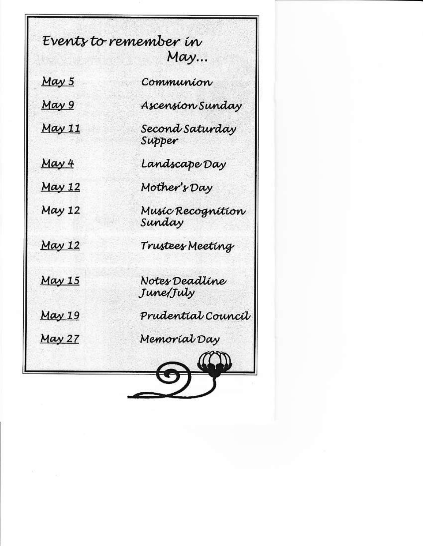Events to remember in May... May 5 Communion May 9 Ascension Sunday May 11 Second Saturdav Supper May 4 Landscape Day **May 12** Mother's Dav Music Recognition May 12 Sundav May 12 Trustees Meeting  $May 15$ Notes Deadline June/July Prudential Council  $May 19$ May 27 Memoríal Day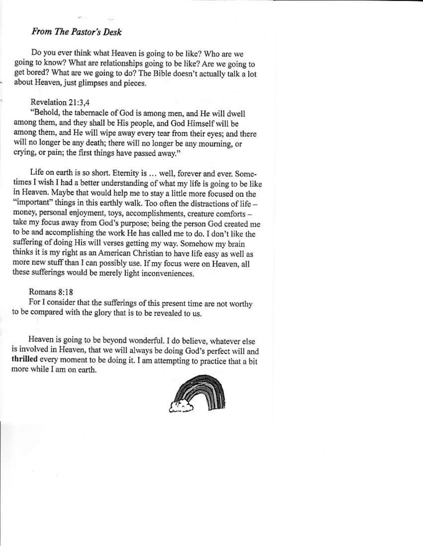#### From The Pastor's Desk

Do you ever think what Heaven is going to be like? Who are we going to know? What are relationships going to be like? Are we going to get bored? What are we going to do? The Bible doesn't actually talk a lot about Heaven, just glimpses and pieces.

#### Revelation 21:3,4

"Behold, the tabernacle of God is among men, and He will dwell among them, and they shall be His people, and God Himself will be among them, and He will wipe away every tear from their eyes; and there will no longer be any death; there will no longer be any mourning, or crying, or pain; the first things have passed away."

Life on earth is so short. Eternity is ... well, forever and ever. Sometimes I wish I had a better understanding of what my life is going to be like in Heaven. Maybe that would help me to stay a little more focused on the "important" things in this earthly walk. Too often the distractions of life money, personal enjoyment, toys, accomplishments, creature comforts take my focus away from God's purpose; being the person God created me to be and accomplishing the work He has called me to do. I don't like the suffering of doing His will verses getting my way. Somehow my brain thinks it is my right as an American Christian to have life easy as well as more new stuff than I can possibly use. If my focus were on Heaven, all these sufferings would be merely light inconveniences.

#### Romans  $8.18$

For I consider that the sufferings of this present time are not worthy to be compared with the glory that is to be revealed to us.

Heaven is going to be beyond wonderful. I do believe, whatever else is involved in Heaven, that we will always be doing God's perfect will and thrilled every moment to be doing it. I am attempting to practice that a bit more while I am on earth.

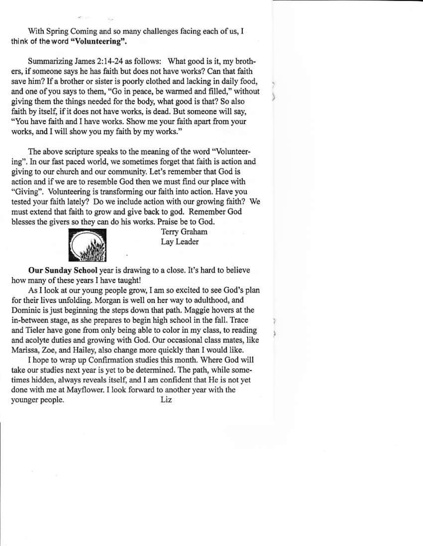With Spring Coming and so many challenges facing each of us, I think of the word "Volunteering".

Summarizing James 2:14-24 as follows: What good is it, my brothers, if someone says he has faith but does not have works? Can that faith save him? If a brother or sister is poorly clothed and lacking in daily food, and one of you says to them, "Go in peace, be warmed and filled," without giving them the things needed for the body, what good is that? So also faith by itself, if it does not have works, is dead. But someone will say, "You have faith and I have works. Show me your faith apart from your works, and I will show you my faith by my works."

The above scripture speaks to the meaning of the word "Volunteering". In our fast paced world, we sometimes forget that faith is action and giving to our church and our community. Let's remember that God is action and if we are to resemble God then we must find our place with "Giving". Volunteering is transforming our faith into action. Have you tested your faith lately? Do we include action with our growing faith? We must extend that faith to grow and give back to god. Remember God blesses the givers so they can do his works. Praise be to God.



Terry Graham Lay Leader

Our Sunday School year is drawing to a close. It's hard to believe how many of these years I have taught!

As I look at our young people grow, I am so excited to see God's plan for their lives unfolding. Morgan is well on her way to adulthood, and Dominic is just beginning the steps down that path. Maggie hovers at the in-between stage, as she prepares to begin high school in the fall. Trace and Tieler have gone from only being able to color in my class, to reading and acolyte duties and growing with God. Our occasional class mates, like Marissa, Zoe, and Hailey, also change more quickly than I would like.

I hope to wrap up Confirmation studies this month. Where God will take our studies next year is yet to be determined. The path, while sometimes hidden, always reveals itself, and I am confident that He is not yet done with me at Mayflower. I look forward to another year with the younger people. Liz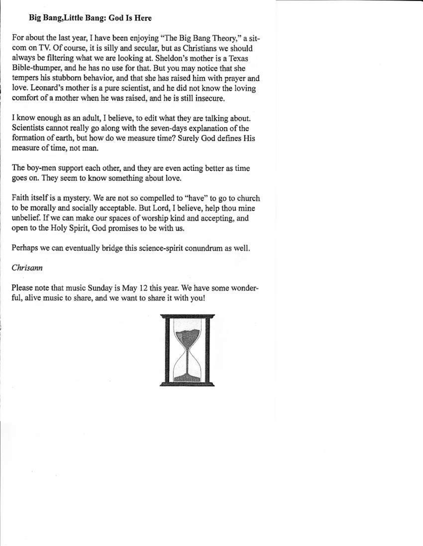#### Big Bang, Little Bang: God Is Here

For about the last year, I have been enjoying "The Big Bang Theory," a sitcom on TV. Of course, it is silly and secular, but as Christians we should always be filtering what we are looking at. Sheldon's mother is a Texas Bible-thumper, and he has no use for that. But you may notice that she tempers his stubborn behavior, and that she has raised him with prayer and love. Leonard's mother is a pure scientist, and he did not know the loving comfort of a mother when he was raised, and he is still insecure.

I know enough as an adult, I believe, to edit what they are talking about. Scientists cannot really go along with the seven-days explanation of the formation of earth, but how do we measure time? Surely God defines His measure of time, not man.

The boy-men support each other, and they are even acting better as time goes on. They seem to know something about love.

Faith itself is a mystery. We are not so compelled to "have" to go to church to be morally and socially acceptable. But Lord, I believe, help thou mine unbelief. If we can make our spaces of worship kind and accepting, and open to the Holy Spirit, God promises to be with us.

Perhaps we can eventually bridge this science-spirit conundrum as well.

#### Chrisann

Please note that music Sunday is May 12 this year. We have some wonderful, alive music to share, and we want to share it with you!

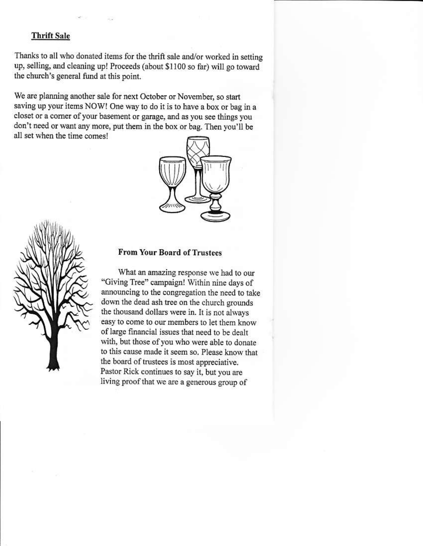#### **Thrift Sale**

Thanks to all who donated items for the thrift sale and/or worked in setting up, selling, and cleaning up! Proceeds (about \$1100 so far) will go toward the church's general fund at this point.

We are planning another sale for next October or November, so start saving up your items NOW! One way to do it is to have a box or bag in a closet or a corner of your basement or garage, and as you see things you don't need or want any more, put them in the box or bag. Then you'll be all set when the time comes!





#### **From Your Board of Trustees**

What an amazing response we had to our "Giving Tree" campaign! Within nine days of announcing to the congregation the need to take down the dead ash tree on the church grounds the thousand dollars were in. It is not always easy to come to our members to let them know of large financial issues that need to be dealt with, but those of you who were able to donate to this cause made it seem so. Please know that the board of trustees is most appreciative. Pastor Rick continues to say it, but you are living proof that we are a generous group of